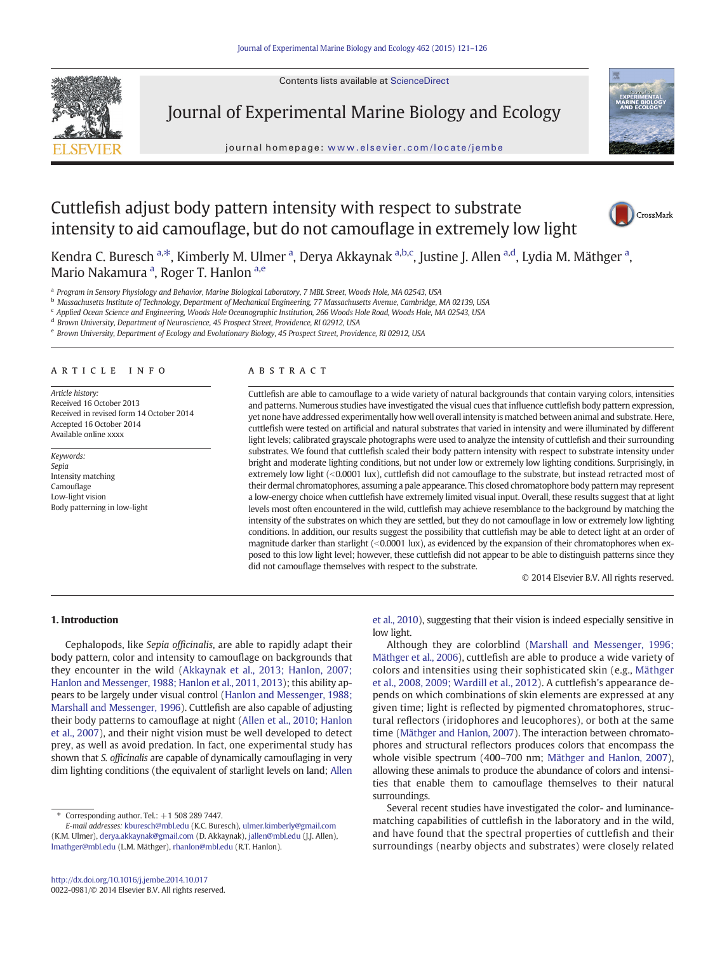Contents lists available at ScienceDirect



Journal of Experimental Marine Biology and Ecology

journal homepage: <www.elsevier.com/locate/jembe>



# Cuttlefish adjust body pattern intensity with respect to substrate intensity to aid camouflage, but do not camouflage in extremely low light



Kendra C. Buresch <sup>a,\*</sup>, Kimberly M. Ulmer <sup>a</sup>, Derya Akkaynak <sup>a,b,c</sup>, Justine J. Allen <sup>a,d</sup>, Lydia M. Mäthger <sup>a</sup>, Mario Nakamura <sup>a</sup>, Roger T. Hanlon <sup>a,e</sup>

<sup>a</sup> Program in Sensory Physiology and Behavior, Marine Biological Laboratory, 7 MBL Street, Woods Hole, MA 02543, USA

<sup>b</sup> Massachusetts Institute of Technology, Department of Mechanical Engineering, 77 Massachusetts Avenue, Cambridge, MA 02139, USA

<sup>c</sup> Applied Ocean Science and Engineering, Woods Hole Oceanographic Institution, 266 Woods Hole Road, Woods Hole, MA 02543, USA

<sup>d</sup> Brown University, Department of Neuroscience, 45 Prospect Street, Providence, RI 02912, USA

<sup>e</sup> Brown University, Department of Ecology and Evolutionary Biology, 45 Prospect Street, Providence, RI 02912, USA

### article info abstract

Article history: Received 16 October 2013 Received in revised form 14 October 2014 Accepted 16 October 2014 Available online xxxx

Keywords: Sepia Intensity matching Camouflage Low-light vision Body patterning in low-light

Cuttlefish are able to camouflage to a wide variety of natural backgrounds that contain varying colors, intensities and patterns. Numerous studies have investigated the visual cues that influence cuttlefish body pattern expression, yet none have addressed experimentally how well overall intensity is matched between animal and substrate. Here, cuttlefish were tested on artificial and natural substrates that varied in intensity and were illuminated by different light levels; calibrated grayscale photographs were used to analyze the intensity of cuttlefish and their surrounding substrates. We found that cuttlefish scaled their body pattern intensity with respect to substrate intensity under bright and moderate lighting conditions, but not under low or extremely low lighting conditions. Surprisingly, in extremely low light (<0.0001 lux), cuttlefish did not camouflage to the substrate, but instead retracted most of their dermal chromatophores, assuming a pale appearance. This closed chromatophore body pattern may represent a low-energy choice when cuttlefish have extremely limited visual input. Overall, these results suggest that at light levels most often encountered in the wild, cuttlefish may achieve resemblance to the background by matching the intensity of the substrates on which they are settled, but they do not camouflage in low or extremely low lighting conditions. In addition, our results suggest the possibility that cuttlefish may be able to detect light at an order of magnitude darker than starlight  $(0.0001 \text{ lux})$ , as evidenced by the expansion of their chromatophores when exposed to this low light level; however, these cuttlefish did not appear to be able to distinguish patterns since they did not camouflage themselves with respect to the substrate.

© 2014 Elsevier B.V. All rights reserved.

## 1. Introduction

Cephalopods, like Sepia officinalis, are able to rapidly adapt their body pattern, color and intensity to camouflage on backgrounds that they encounter in the wild [\(Akkaynak et al., 2013; Hanlon, 2007;](#page-5-0) [Hanlon and Messenger, 1988; Hanlon et al., 2011, 2013](#page-5-0)); this ability appears to be largely under visual control [\(Hanlon and Messenger, 1988;](#page-5-0) [Marshall and Messenger, 1996\)](#page-5-0). Cuttlefish are also capable of adjusting their body patterns to camouflage at night ([Allen et al., 2010; Hanlon](#page-5-0) [et al., 2007\)](#page-5-0), and their night vision must be well developed to detect prey, as well as avoid predation. In fact, one experimental study has shown that S. officinalis are capable of dynamically camouflaging in very dim lighting conditions (the equivalent of starlight levels on land; [Allen](#page-5-0)

[et al., 2010](#page-5-0)), suggesting that their vision is indeed especially sensitive in low light.

Although they are colorblind [\(Marshall and Messenger, 1996;](#page-5-0) [Mäthger et al., 2006\)](#page-5-0), cuttlefish are able to produce a wide variety of colors and intensities using their sophisticated skin (e.g., [Mäthger](#page-5-0) [et al., 2008, 2009; Wardill et al., 2012\)](#page-5-0). A cuttlefish's appearance depends on which combinations of skin elements are expressed at any given time; light is reflected by pigmented chromatophores, structural reflectors (iridophores and leucophores), or both at the same time [\(Mäthger and Hanlon, 2007](#page-5-0)). The interaction between chromatophores and structural reflectors produces colors that encompass the whole visible spectrum (400–700 nm; [Mäthger and Hanlon, 2007](#page-5-0)), allowing these animals to produce the abundance of colors and intensities that enable them to camouflage themselves to their natural surroundings.

Several recent studies have investigated the color- and luminancematching capabilities of cuttlefish in the laboratory and in the wild, and have found that the spectral properties of cuttlefish and their surroundings (nearby objects and substrates) were closely related

Corresponding author. Tel.:  $+1$  508 289 7447.

E-mail addresses: [kburesch@mbl.edu](mailto:kburesch@mbl.edu) (K.C. Buresch), [ulmer.kimberly@gmail.com](mailto:ulmer.kimberly@gmail.com) (K.M. Ulmer), [derya.akkaynak@gmail.com](mailto:derya.akkaynak@gmail.com) (D. Akkaynak), [jallen@mbl.edu](mailto:jallen@mbl.edu) (J.J. Allen), [lmathger@mbl.edu](mailto:lmathger@mbl.edu) (L.M. Mäthger), [rhanlon@mbl.edu](mailto:rhanlon@mbl.edu) (R.T. Hanlon).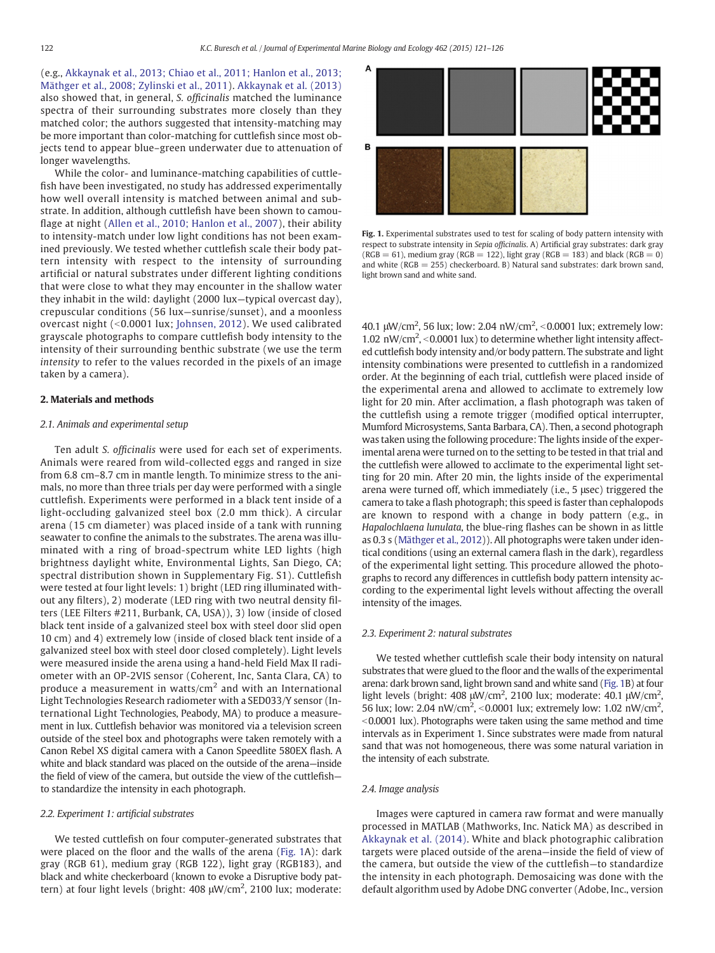(e.g., [Akkaynak et al., 2013; Chiao et al., 2011; Hanlon et al., 2013;](#page-5-0) [Mäthger et al., 2008; Zylinski et al., 2011\)](#page-5-0). [Akkaynak et al. \(2013\)](#page-5-0) also showed that, in general, S. officinalis matched the luminance spectra of their surrounding substrates more closely than they matched color; the authors suggested that intensity-matching may be more important than color-matching for cuttlefish since most objects tend to appear blue–green underwater due to attenuation of longer wavelengths.

While the color- and luminance-matching capabilities of cuttlefish have been investigated, no study has addressed experimentally how well overall intensity is matched between animal and substrate. In addition, although cuttlefish have been shown to camouflage at night [\(Allen et al., 2010; Hanlon et al., 2007\)](#page-5-0), their ability to intensity-match under low light conditions has not been examined previously. We tested whether cuttlefish scale their body pattern intensity with respect to the intensity of surrounding artificial or natural substrates under different lighting conditions that were close to what they may encounter in the shallow water they inhabit in the wild: daylight (2000 lux—typical overcast day), crepuscular conditions (56 lux—sunrise/sunset), and a moonless overcast night (<0.0001 lux; [Johnsen, 2012\)](#page-5-0). We used calibrated grayscale photographs to compare cuttlefish body intensity to the intensity of their surrounding benthic substrate (we use the term intensity to refer to the values recorded in the pixels of an image taken by a camera).

#### 2. Materials and methods

#### 2.1. Animals and experimental setup

Ten adult S. officinalis were used for each set of experiments. Animals were reared from wild-collected eggs and ranged in size from 6.8 cm–8.7 cm in mantle length. To minimize stress to the animals, no more than three trials per day were performed with a single cuttlefish. Experiments were performed in a black tent inside of a light-occluding galvanized steel box (2.0 mm thick). A circular arena (15 cm diameter) was placed inside of a tank with running seawater to confine the animals to the substrates. The arena was illuminated with a ring of broad-spectrum white LED lights (high brightness daylight white, Environmental Lights, San Diego, CA; spectral distribution shown in Supplementary Fig. S1). Cuttlefish were tested at four light levels: 1) bright (LED ring illuminated without any filters), 2) moderate (LED ring with two neutral density filters (LEE Filters #211, Burbank, CA, USA)), 3) low (inside of closed black tent inside of a galvanized steel box with steel door slid open 10 cm) and 4) extremely low (inside of closed black tent inside of a galvanized steel box with steel door closed completely). Light levels were measured inside the arena using a hand-held Field Max II radiometer with an OP-2VIS sensor (Coherent, Inc, Santa Clara, CA) to produce a measurement in watts/ $\text{cm}^2$  and with an International Light Technologies Research radiometer with a SED033/Y sensor (International Light Technologies, Peabody, MA) to produce a measurement in lux. Cuttlefish behavior was monitored via a television screen outside of the steel box and photographs were taken remotely with a Canon Rebel XS digital camera with a Canon Speedlite 580EX flash. A white and black standard was placed on the outside of the arena—inside the field of view of the camera, but outside the view of the cuttlefish to standardize the intensity in each photograph.

#### 2.2. Experiment 1: artificial substrates

We tested cuttlefish on four computer-generated substrates that were placed on the floor and the walls of the arena (Fig. 1A): dark gray (RGB 61), medium gray (RGB 122), light gray (RGB183), and black and white checkerboard (known to evoke a Disruptive body pattern) at four light levels (bright: 408 μW/cm<sup>2</sup>, 2100 lux; moderate:



Fig. 1. Experimental substrates used to test for scaling of body pattern intensity with respect to substrate intensity in Sepia officinalis. A) Artificial gray substrates: dark gray  $(RGB = 61)$ , medium gray (RGB = 122), light gray (RGB = 183) and black (RGB = 0) and white ( $RGB = 255$ ) checkerboard. B) Natural sand substrates: dark brown sand, light brown sand and white sand.

40.1 μW/cm<sup>2</sup>, 56 lux; low: 2.04 nW/cm<sup>2</sup>, < 0.0001 lux; extremely low: 1.02 nW/cm<sup>2</sup>, <0.0001 lux) to determine whether light intensity affected cuttlefish body intensity and/or body pattern. The substrate and light intensity combinations were presented to cuttlefish in a randomized order. At the beginning of each trial, cuttlefish were placed inside of the experimental arena and allowed to acclimate to extremely low light for 20 min. After acclimation, a flash photograph was taken of the cuttlefish using a remote trigger (modified optical interrupter, Mumford Microsystems, Santa Barbara, CA). Then, a second photograph was taken using the following procedure: The lights inside of the experimental arena were turned on to the setting to be tested in that trial and the cuttlefish were allowed to acclimate to the experimental light setting for 20 min. After 20 min, the lights inside of the experimental arena were turned off, which immediately (i.e., 5 μsec) triggered the camera to take a flash photograph; this speed is faster than cephalopods are known to respond with a change in body pattern (e.g., in Hapalochlaena lunulata, the blue-ring flashes can be shown in as little as 0.3 s ([Mäthger et al., 2012\)](#page-5-0)). All photographs were taken under identical conditions (using an external camera flash in the dark), regardless of the experimental light setting. This procedure allowed the photographs to record any differences in cuttlefish body pattern intensity according to the experimental light levels without affecting the overall intensity of the images.

#### 2.3. Experiment 2: natural substrates

We tested whether cuttlefish scale their body intensity on natural substrates that were glued to the floor and the walls of the experimental arena: dark brown sand, light brown sand and white sand (Fig. 1B) at four light levels (bright: 408  $\mu$ W/cm<sup>2</sup>, 2100 lux; moderate: 40.1  $\mu$ W/cm<sup>2</sup>, 56 lux; low: 2.04 nW/cm<sup>2</sup>, <0.0001 lux; extremely low: 1.02 nW/cm<sup>2</sup>,  $0.0001$  lux). Photographs were taken using the same method and time intervals as in Experiment 1. Since substrates were made from natural sand that was not homogeneous, there was some natural variation in the intensity of each substrate.

#### 2.4. Image analysis

Images were captured in camera raw format and were manually processed in MATLAB (Mathworks, Inc. Natick MA) as described in [Akkaynak et al. \(2014\).](#page-5-0) White and black photographic calibration targets were placed outside of the arena—inside the field of view of the camera, but outside the view of the cuttlefish—to standardize the intensity in each photograph. Demosaicing was done with the default algorithm used by Adobe DNG converter (Adobe, Inc., version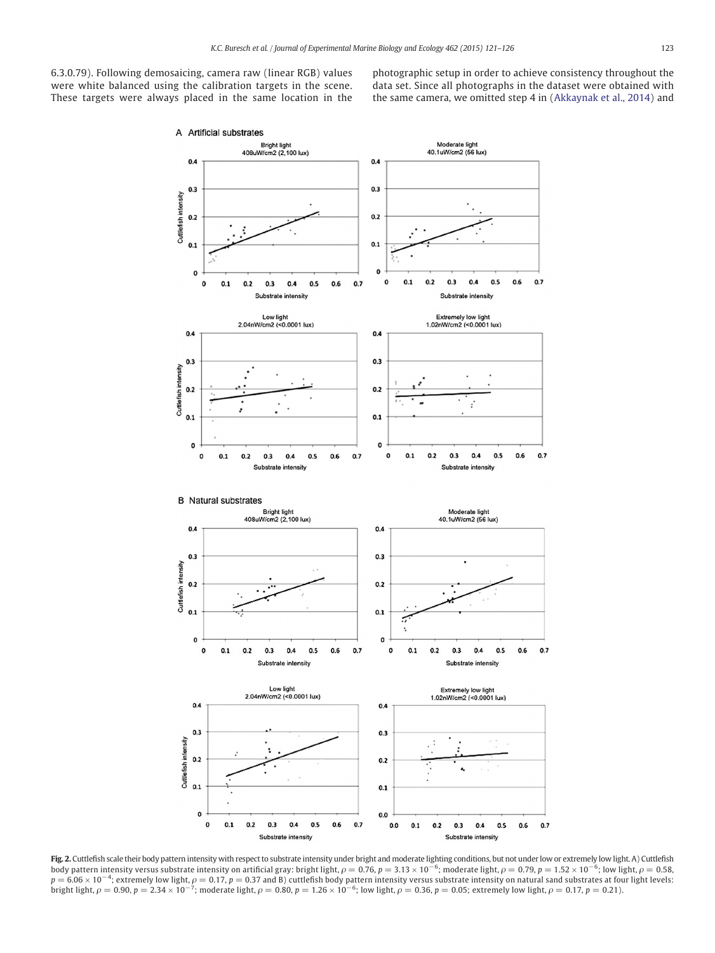<span id="page-2-0"></span>6.3.0.79). Following demosaicing, camera raw (linear RGB) values were white balanced using the calibration targets in the scene. These targets were always placed in the same location in the photographic setup in order to achieve consistency throughout the data set. Since all photographs in the dataset were obtained with the same camera, we omitted step 4 in ([Akkaynak et al., 2014\)](#page-5-0) and



Fig. 2. Cuttlefish scale their body pattern intensity with respect to substrate intensity under bright and moderate lighting conditions, but not under low or extremely low light. A) Cuttlefish body pattern intensity versus substrate intensity on artificial gray: bright light,  $\rho=0.76$ ,  $p=3.13\times10^{-6};$  moderate light,  $\rho=0.79,$   $p=1.52\times10^{-6};$  low light,  $\rho=0.58,$  $p = 6.06 \times 10^{-4}$ ; extremely low light,  $\rho = 0.17$ ,  $p = 0.37$  and B) cuttlefish body pattern intensity versus substrate intensity on natural sand substrates at four light levels: bright light,  $\rho = 0.90$ ,  $p = 2.34 \times 10^{-7}$ ; moderate light,  $\rho = 0.80$ ,  $p = 1.26 \times 10^{-6}$ ; low light,  $\rho = 0.36$ ,  $p = 0.05$ ; extremely low light,  $\rho = 0.17$ ,  $p = 0.21$ ).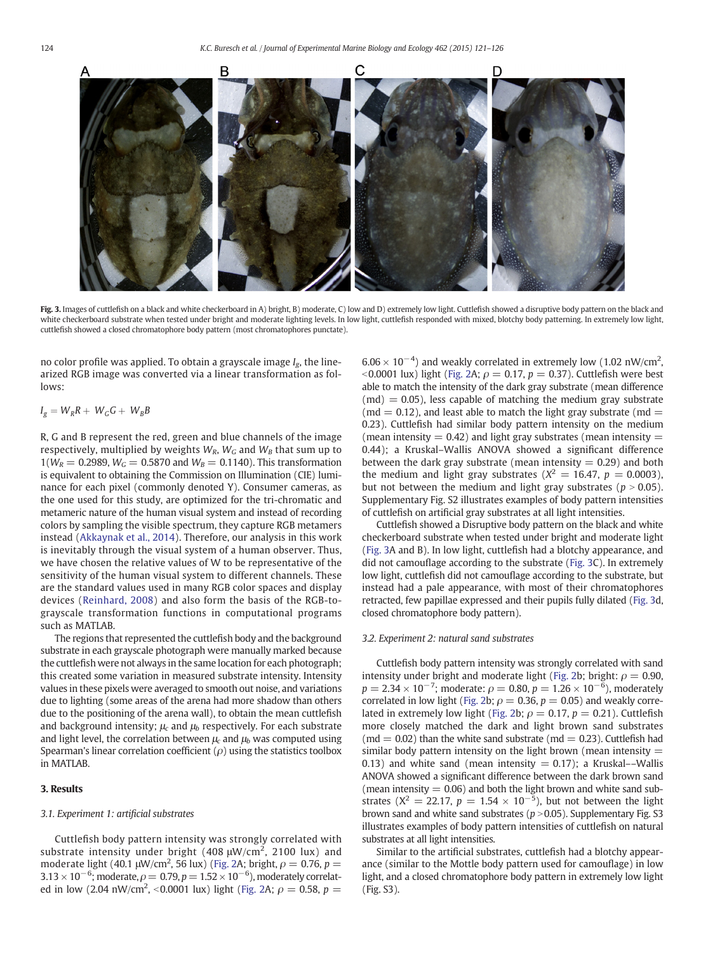

Fig. 3. Images of cuttlefish on a black and white checkerboard in A) bright, B) moderate, C) low and D) extremely low light. Cuttlefish showed a disruptive body pattern on the black and white checkerboard substrate when tested under bright and moderate lighting levels. In low light, cuttlefish responded with mixed, blotchy body patterning. In extremely low light, cuttlefish showed a closed chromatophore body pattern (most chromatophores punctate).

no color profile was applied. To obtain a grayscale image  $I_g$ , the linearized RGB image was converted via a linear transformation as follows:

$$
I_g = W_R R + W_G G + W_B B
$$

R, G and B represent the red, green and blue channels of the image respectively, multiplied by weights  $W_R$ ,  $W_G$  and  $W_B$  that sum up to  $1(W_R = 0.2989, W_G = 0.5870$  and  $W_B = 0.1140$ ). This transformation is equivalent to obtaining the Commission on Illumination (CIE) luminance for each pixel (commonly denoted Y). Consumer cameras, as the one used for this study, are optimized for the tri-chromatic and metameric nature of the human visual system and instead of recording colors by sampling the visible spectrum, they capture RGB metamers instead ([Akkaynak et al., 2014\)](#page-5-0). Therefore, our analysis in this work is inevitably through the visual system of a human observer. Thus, we have chosen the relative values of W to be representative of the sensitivity of the human visual system to different channels. These are the standard values used in many RGB color spaces and display devices ([Reinhard, 2008\)](#page-5-0) and also form the basis of the RGB-tograyscale transformation functions in computational programs such as MATLAB.

The regions that represented the cuttlefish body and the background substrate in each grayscale photograph were manually marked because the cuttlefish were not always in the same location for each photograph; this created some variation in measured substrate intensity. Intensity values in these pixels were averaged to smooth out noise, and variations due to lighting (some areas of the arena had more shadow than others due to the positioning of the arena wall), to obtain the mean cuttlefish and background intensity;  $\mu_c$  and  $\mu_b$  respectively. For each substrate and light level, the correlation between  $\mu_c$  and  $\mu_b$  was computed using Spearman's linear correlation coefficient  $(\rho)$  using the statistics toolbox in MATLAB.

#### 3. Results

#### 3.1. Experiment 1: artificial substrates

Cuttlefish body pattern intensity was strongly correlated with substrate intensity under bright (408  $\mu$ W/cm<sup>2</sup>, 2100 lux) and moderate light (40.1  $\mu$ W/cm<sup>2</sup>, 56 lux) [\(Fig. 2](#page-2-0)A; bright,  $\rho = 0.76$ ,  $p =$ 3.13  $\times$  10 $^{-6}$ ; moderate,  $\rho=$  0.79,  $p=$  1.52  $\times$  10 $^{-6}$ ), moderately correlat-ed in low (2.04 nW/cm<sup>2</sup>, <0.0001 lux) light [\(Fig. 2A](#page-2-0);  $\rho = 0.58$ ,  $p =$ 

 $6.06 \times 10^{-4}$ ) and weakly correlated in extremely low (1.02 nW/cm<sup>2</sup>,  $\leq$ 0.0001 lux) light [\(Fig. 2A](#page-2-0);  $\rho = 0.17$ ,  $p = 0.37$ ). Cuttlefish were best able to match the intensity of the dark gray substrate (mean difference  $(md) = 0.05$ ), less capable of matching the medium gray substrate  $(md = 0.12)$ , and least able to match the light gray substrate (md = 0.23). Cuttlefish had similar body pattern intensity on the medium (mean intensity  $= 0.42$ ) and light gray substrates (mean intensity  $=$ 0.44); a Kruskal–Wallis ANOVA showed a significant difference between the dark gray substrate (mean intensity  $= 0.29$ ) and both the medium and light gray substrates ( $X^2 = 16.47$ ,  $p = 0.0003$ ), but not between the medium and light gray substrates ( $p > 0.05$ ). Supplementary Fig. S2 illustrates examples of body pattern intensities of cuttlefish on artificial gray substrates at all light intensities.

Cuttlefish showed a Disruptive body pattern on the black and white checkerboard substrate when tested under bright and moderate light (Fig. 3A and B). In low light, cuttlefish had a blotchy appearance, and did not camouflage according to the substrate (Fig. 3C). In extremely low light, cuttlefish did not camouflage according to the substrate, but instead had a pale appearance, with most of their chromatophores retracted, few papillae expressed and their pupils fully dilated (Fig. 3d, closed chromatophore body pattern).

#### 3.2. Experiment 2: natural sand substrates

Cuttlefish body pattern intensity was strongly correlated with sand intensity under bright and moderate light [\(Fig. 2b](#page-2-0); bright:  $\rho = 0.90$ ,  $p = 2.34 \times 10^{-7}$ ; moderate:  $\rho = 0.80, p = 1.26 \times 10^{-6}$ ), moderately correlated in low light [\(Fig. 2b](#page-2-0);  $\rho = 0.36$ ,  $p = 0.05$ ) and weakly corre-lated in extremely low light [\(Fig. 2b](#page-2-0);  $\rho = 0.17$ ,  $p = 0.21$ ). Cuttlefish more closely matched the dark and light brown sand substrates  $(md = 0.02)$  than the white sand substrate  $(md = 0.23)$ . Cuttlefish had similar body pattern intensity on the light brown (mean intensity  $=$ 0.13) and white sand (mean intensity  $= 0.17$ ); a Kruskal--Wallis ANOVA showed a significant difference between the dark brown sand (mean intensity  $= 0.06$ ) and both the light brown and white sand substrates ( $X^2 = 22.17$ ,  $p = 1.54 \times 10^{-5}$ ), but not between the light brown sand and white sand substrates ( $p > 0.05$ ). Supplementary Fig. S3 illustrates examples of body pattern intensities of cuttlefish on natural substrates at all light intensities.

Similar to the artificial substrates, cuttlefish had a blotchy appearance (similar to the Mottle body pattern used for camouflage) in low light, and a closed chromatophore body pattern in extremely low light (Fig. S3).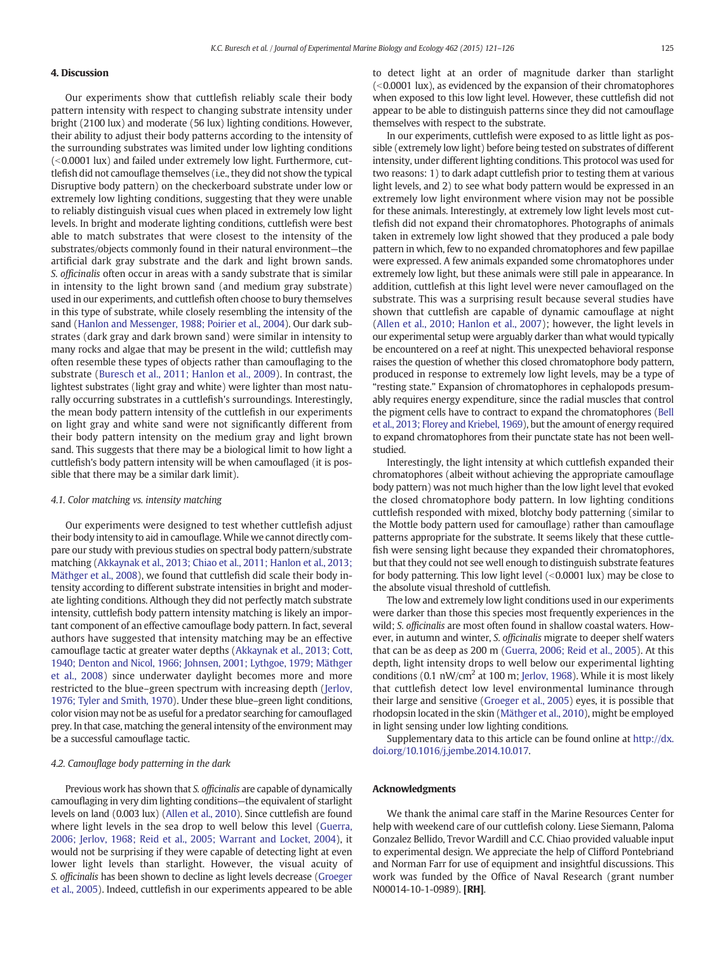#### 4. Discussion

Our experiments show that cuttlefish reliably scale their body pattern intensity with respect to changing substrate intensity under bright (2100 lux) and moderate (56 lux) lighting conditions. However, their ability to adjust their body patterns according to the intensity of the surrounding substrates was limited under low lighting conditions (<0.0001 lux) and failed under extremely low light. Furthermore, cuttlefish did not camouflage themselves (i.e., they did not show the typical Disruptive body pattern) on the checkerboard substrate under low or extremely low lighting conditions, suggesting that they were unable to reliably distinguish visual cues when placed in extremely low light levels. In bright and moderate lighting conditions, cuttlefish were best able to match substrates that were closest to the intensity of the substrates/objects commonly found in their natural environment—the artificial dark gray substrate and the dark and light brown sands. S. officinalis often occur in areas with a sandy substrate that is similar in intensity to the light brown sand (and medium gray substrate) used in our experiments, and cuttlefish often choose to bury themselves in this type of substrate, while closely resembling the intensity of the sand ([Hanlon and Messenger, 1988; Poirier et al., 2004](#page-5-0)). Our dark substrates (dark gray and dark brown sand) were similar in intensity to many rocks and algae that may be present in the wild; cuttlefish may often resemble these types of objects rather than camouflaging to the substrate ([Buresch et al., 2011; Hanlon et al., 2009\)](#page-5-0). In contrast, the lightest substrates (light gray and white) were lighter than most naturally occurring substrates in a cuttlefish's surroundings. Interestingly, the mean body pattern intensity of the cuttlefish in our experiments on light gray and white sand were not significantly different from their body pattern intensity on the medium gray and light brown sand. This suggests that there may be a biological limit to how light a cuttlefish's body pattern intensity will be when camouflaged (it is possible that there may be a similar dark limit).

#### 4.1. Color matching vs. intensity matching

Our experiments were designed to test whether cuttlefish adjust their body intensity to aid in camouflage. While we cannot directly compare our study with previous studies on spectral body pattern/substrate matching [\(Akkaynak et al., 2013; Chiao et al., 2011; Hanlon et al., 2013;](#page-5-0) [Mäthger et al., 2008](#page-5-0)), we found that cuttlefish did scale their body intensity according to different substrate intensities in bright and moderate lighting conditions. Although they did not perfectly match substrate intensity, cuttlefish body pattern intensity matching is likely an important component of an effective camouflage body pattern. In fact, several authors have suggested that intensity matching may be an effective camouflage tactic at greater water depths [\(Akkaynak et al., 2013; Cott,](#page-5-0) [1940; Denton and Nicol, 1966; Johnsen, 2001; Lythgoe, 1979; Mäthger](#page-5-0) [et al., 2008](#page-5-0)) since underwater daylight becomes more and more restricted to the blue–green spectrum with increasing depth ([Jerlov,](#page-5-0) [1976; Tyler and Smith, 1970\)](#page-5-0). Under these blue–green light conditions, color vision may not be as useful for a predator searching for camouflaged prey. In that case, matching the general intensity of the environment may be a successful camouflage tactic.

#### 4.2. Camouflage body patterning in the dark

Previous work has shown that S. officinalis are capable of dynamically camouflaging in very dim lighting conditions—the equivalent of starlight levels on land (0.003 lux) [\(Allen et al., 2010\)](#page-5-0). Since cuttlefish are found where light levels in the sea drop to well below this level ([Guerra,](#page-5-0) [2006; Jerlov, 1968; Reid et al., 2005; Warrant and Locket, 2004\)](#page-5-0), it would not be surprising if they were capable of detecting light at even lower light levels than starlight. However, the visual acuity of S. officinalis has been shown to decline as light levels decrease [\(Groeger](#page-5-0) [et al., 2005](#page-5-0)). Indeed, cuttlefish in our experiments appeared to be able

to detect light at an order of magnitude darker than starlight  $\approx 0.0001$  lux), as evidenced by the expansion of their chromatophores when exposed to this low light level. However, these cuttlefish did not appear to be able to distinguish patterns since they did not camouflage themselves with respect to the substrate.

In our experiments, cuttlefish were exposed to as little light as possible (extremely low light) before being tested on substrates of different intensity, under different lighting conditions. This protocol was used for two reasons: 1) to dark adapt cuttlefish prior to testing them at various light levels, and 2) to see what body pattern would be expressed in an extremely low light environment where vision may not be possible for these animals. Interestingly, at extremely low light levels most cuttlefish did not expand their chromatophores. Photographs of animals taken in extremely low light showed that they produced a pale body pattern in which, few to no expanded chromatophores and few papillae were expressed. A few animals expanded some chromatophores under extremely low light, but these animals were still pale in appearance. In addition, cuttlefish at this light level were never camouflaged on the substrate. This was a surprising result because several studies have shown that cuttlefish are capable of dynamic camouflage at night [\(Allen et al., 2010; Hanlon et al., 2007\)](#page-5-0); however, the light levels in our experimental setup were arguably darker than what would typically be encountered on a reef at night. This unexpected behavioral response raises the question of whether this closed chromatophore body pattern, produced in response to extremely low light levels, may be a type of "resting state." Expansion of chromatophores in cephalopods presumably requires energy expenditure, since the radial muscles that control the pigment cells have to contract to expand the chromatophores [\(Bell](#page-5-0) [et al., 2013; Florey and Kriebel, 1969](#page-5-0)), but the amount of energy required to expand chromatophores from their punctate state has not been wellstudied.

Interestingly, the light intensity at which cuttlefish expanded their chromatophores (albeit without achieving the appropriate camouflage body pattern) was not much higher than the low light level that evoked the closed chromatophore body pattern. In low lighting conditions cuttlefish responded with mixed, blotchy body patterning (similar to the Mottle body pattern used for camouflage) rather than camouflage patterns appropriate for the substrate. It seems likely that these cuttlefish were sensing light because they expanded their chromatophores, but that they could not see well enough to distinguish substrate features for body patterning. This low light level  $($  < 0.0001 lux) may be close to the absolute visual threshold of cuttlefish.

The low and extremely low light conditions used in our experiments were darker than those this species most frequently experiences in the wild; S. officinalis are most often found in shallow coastal waters. However, in autumn and winter, S. officinalis migrate to deeper shelf waters that can be as deep as 200 m ([Guerra, 2006; Reid et al., 2005](#page-5-0)). At this depth, light intensity drops to well below our experimental lighting conditions (0.1 nW/cm<sup>2</sup> at 100 m; [Jerlov, 1968\)](#page-5-0). While it is most likely that cuttlefish detect low level environmental luminance through their large and sensitive [\(Groeger et al., 2005](#page-5-0)) eyes, it is possible that rhodopsin located in the skin [\(Mäthger et al., 2010](#page-5-0)), might be employed in light sensing under low lighting conditions.

Supplementary data to this article can be found online at [http://dx.](http://dx.doi.org/10.1016/j.jembe.2014.10.017) [doi.org/10.1016/j.jembe.2014.10.017](http://dx.doi.org/10.1016/j.jembe.2014.10.017).

#### Acknowledgments

We thank the animal care staff in the Marine Resources Center for help with weekend care of our cuttlefish colony. Liese Siemann, Paloma Gonzalez Bellido, Trevor Wardill and C.C. Chiao provided valuable input to experimental design. We appreciate the help of Clifford Pontebriand and Norman Farr for use of equipment and insightful discussions. This work was funded by the Office of Naval Research (grant number N00014-10-1-0989). [RH].